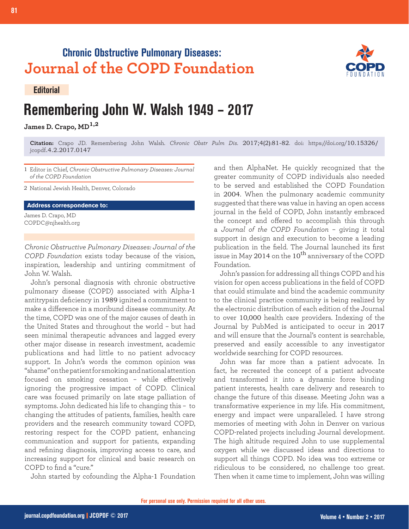## **Chronic Obstructive Pulmonary Diseases: Journal of the COPD Foundation**

## **Editorial**

**81 Remembering John Walsh**

## **Remembering John W. Walsh 1949 – 2017**

**James D. Crapo, MD1,2**

**Citation:** Crapo JD. Remembering John Walsh. *Chronic Obstr Pulm Dis*. 2017;4(2):81-82. doi: https://doi.org/10.15326/ jcopdf.4.2.2017.0147

1 Editor in Chief, *Chronic Obstructive Pulmonary Diseases: Journal of the COPD Foundation*

2 National Jewish Health, Denver, Colorado

## **Address correspondence to:**

James D. Crapo, MD COPDC@njhealth.org

*Chronic Obstructive Pulmonary Diseases: Journal of the COPD Foundation* exists today because of the vision, inspiration, leadership and untiring commitment of John W. Walsh.

John's personal diagnosis with chronic obstructive pulmonary disease (COPD) associated with Alpha-1 antitrypsin deficiency in 1989 ignited a commitment to make a difference in a moribund disease community. At the time, COPD was one of the major causes of death in the United States and throughout the world – but had seen minimal therapeutic advances and lagged every other major disease in research investment, academic publications and had little to no patient advocacy support. In John's words the common opinion was "shame" on the patient for smoking and national attention focused on smoking cessation – while effectively ignoring the progressive impact of COPD. Clinical care was focused primarily on late stage palliation of symptoms. John dedicated his life to changing this – to changing the attitudes of patients, families, health care providers and the research community toward COPD, restoring respect for the COPD patient, enhancing communication and support for patients, expanding and refining diagnosis, improving access to care, and increasing support for clinical and basic research on COPD to find a "cure."

John started by cofounding the Alpha-1 Foundation

and then AlphaNet. He quickly recognized that the greater community of COPD individuals also needed to be served and established the COPD Foundation in 2004. When the pulmonary academic community suggested that there was value in having an open access journal in the field of COPD, John instantly embraced the concept and offered to accomplish this through a *Journal of the COPD Foundation* – giving it total support in design and execution to become a leading publication in the field. The Journal launched its first issue in May 2014 on the  $10^{\rm th}$  anniversary of the COPD Foundation.

John's passion for addressing all things COPD and his vision for open access publications in the field of COPD that could stimulate and bind the academic community to the clinical practice community is being realized by the electronic distribution of each edition of the Journal to over 10,000 health care providers. Indexing of the Journal by PubMed is anticipated to occur in 2017 and will ensure that the Journal's content is searchable, preserved and easily accessible to any investigator worldwide searching for COPD resources.

John was far more than a patient advocate. In fact, he recreated the concept of a patient advocate and transformed it into a dynamic force binding patient interests, health care delivery and research to change the future of this disease. Meeting John was a transformative experience in my life. His commitment, energy and impact were unparalleled. I have strong memories of meeting with John in Denver on various COPD-related projects including Journal development. The high altitude required John to use supplemental oxygen while we discussed ideas and directions to support all things COPD. No idea was too extreme or ridiculous to be considered, no challenge too great. Then when it came time to implement, John was willing